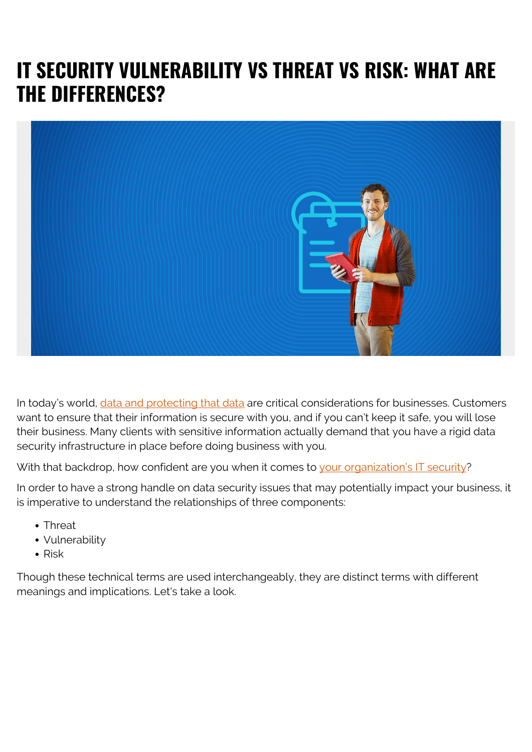# **IT SECURITY VULNERABILITY VS THREAT VS RISK: WHAT ARE THE DIFFERENCES?**



In today's world, *data and protecting that data* are critical considerations for businesses. Customers want to ensure that their information is secure with you, and if you can't keep it safe, you will lose their business. Many clients with sensitive information actually demand that you have a rigid data security infrastructure in place before doing business with you.

With that backdrop, how confident are you when it comes to [your organization's IT security](https://blogs.bmc.com/blogs/big-data-security-issues-enterprise/)?

In order to have a strong handle on data security issues that may potentially impact your business, it is imperative to understand the relationships of three components:

- Threat
- Vulnerability
- $\bullet$  Risk

Though these technical terms are used interchangeably, they are distinct terms with different meanings and implications. Let's take a look.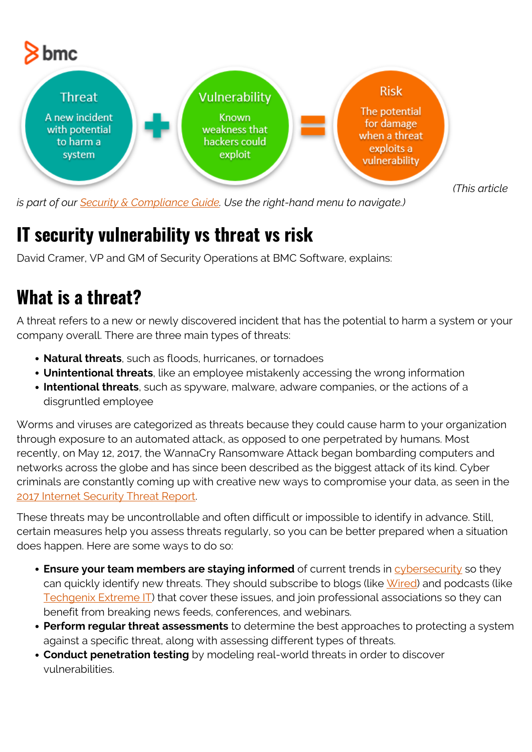

*is part of our [Security & Compliance Guide.](https://blogs.bmc.com/blogs/security-introduction/) Use the right-hand menu to navigate.)*

#### **IT security vulnerability vs threat vs risk**

David Cramer, VP and GM of Security Operations at BMC Software, explains:

## **What is a threat?**

A threat refers to a new or newly discovered incident that has the potential to harm a system or your company overall. There are three main types of threats:

- **Natural threats**, such as floods, hurricanes, or tornadoes
- **Unintentional threats**, like an employee mistakenly accessing the wrong information
- **Intentional threats**, such as spyware, malware, adware companies, or the actions of a disgruntled employee

Worms and viruses are categorized as threats because they could cause harm to your organization through exposure to an automated attack, as opposed to one perpetrated by humans. Most recently, on May 12, 2017, the WannaCry Ransomware Attack began bombarding computers and networks across the globe and has since been described as the biggest attack of its kind. Cyber criminals are constantly coming up with creative new ways to compromise your data, as seen in the 2017 Internet Security Threat Report

These threats may be uncontrollable and often difficult or impossible to identify in advance. Still, certain measures help you assess threats regularly, so you can be better prepared when a situation does happen. Here are some ways to do so:

- **Ensure your team members are staying informed** of current trends in **[cybersecurity](https://blogs.bmc.com/blogs/cybersecurity/)** so they can quickly identify new threats. They should subscribe to blogs (like [Wired\)](https://www.wired.com/category/security/) and podcasts (like [Techgenix Extreme IT\)](https://itunes.apple.com/us/podcast/techgenix-xtreme-it-podcast/id1198236101?mt=2) that cover these issues, and join professional associations so they can benefit from breaking news feeds, conferences, and webinars.
- **Perform regular threat assessments** to determine the best approaches to protecting a system against a specific threat, along with assessing different types of threats.
- **Conduct penetration testing** by modeling real-world threats in order to discover vulnerabilities.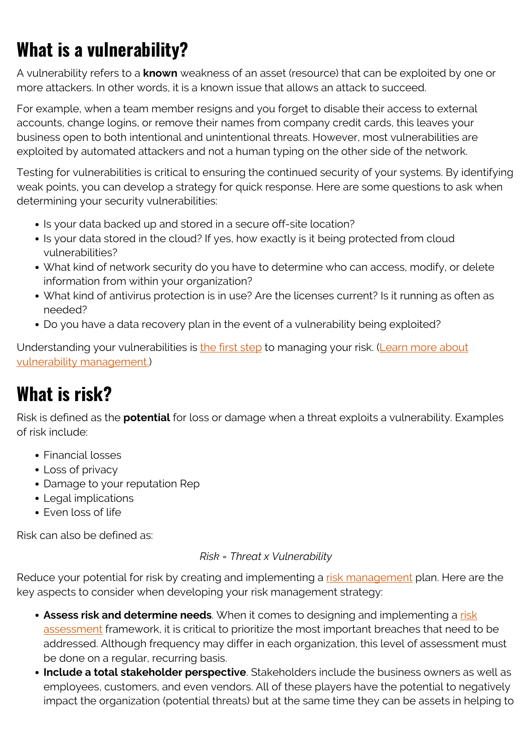# **What is a vulnerability?**

A vulnerability refers to a **known** weakness of an asset (resource) that can be exploited by one or more attackers. In other words, it is a known issue that allows an attack to succeed.

For example, when a team member resigns and you forget to disable their access to external accounts, change logins, or remove their names from company credit cards, this leaves your business open to both intentional and unintentional threats. However, most vulnerabilities are exploited by automated attackers and not a human typing on the other side of the network.

Testing for vulnerabilities is critical to ensuring the continued security of your systems. By identifying weak points, you can develop a strategy for quick response. Here are some questions to ask when determining your security vulnerabilities:

- Is your data backed up and stored in a secure off-site location?
- Is your data stored in the cloud? If yes, how exactly is it being protected from cloud vulnerabilities?
- What kind of network security do you have to determine who can access, modify, or delete information from within your organization?
- What kind of antivirus protection is in use? Are the licenses current? Is it running as often as needed?
- Do you have a data recovery plan in the event of a vulnerability being exploited?

Understanding your vulnerabilities is [the first step](http://arch.simplicable.com/arch/new/the-big-list-of-information-security-vulnerabilities) to managing your risk. ([Learn more about](https://blogs.bmc.com/blogs/vulnerability-management/) [vulnerability management.\)](https://blogs.bmc.com/blogs/vulnerability-management/)

## **What is risk?**

Risk is defined as the **potential** for loss or damage when a threat exploits a vulnerability. Examples of risk include:

- Financial losses
- Loss of privacy
- Damage to your reputation Rep
- Legal implications
- Even loss of life

Risk can also be defined as:

#### *Risk = Threat x Vulnerability*

Reduce your potential for risk by creating and implementing a [risk management](https://blogs.bmc.com/blogs/risk-management/) plan. Here are the key aspects to consider when developing your risk management strategy:

- **Assess [risk](https://blogs.bmc.com/blogs/risk-assessment-vs-vulnerability-assessment/) and determine needs**. When it comes to designing and implementing a risk [assessment](https://blogs.bmc.com/blogs/risk-assessment-vs-vulnerability-assessment/) framework, it is critical to prioritize the most important breaches that need to be addressed. Although frequency may differ in each organization, this level of assessment must be done on a regular, recurring basis.
- **Include a total stakeholder perspective**. Stakeholders include the business owners as well as employees, customers, and even vendors. All of these players have the potential to negatively impact the organization (potential threats) but at the same time they can be assets in helping to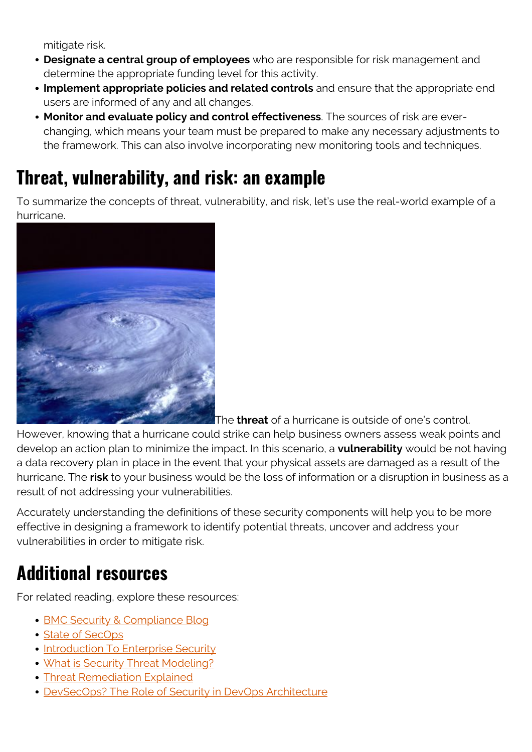mitigate risk.

- **Designate a central group of employees** who are responsible for risk management and determine the appropriate funding level for this activity.
- **Implement appropriate policies and related controls** and ensure that the appropriate end users are informed of any and all changes.
- **Monitor and evaluate policy and control effectiveness**. The sources of risk are everchanging, which means your team must be prepared to make any necessary adjustments to the framework. This can also involve incorporating new monitoring tools and techniques.

### **Threat, vulnerability, and risk: an example**

To summarize the concepts of threat, vulnerability, and risk, let's use the real-world example of a hurricane.



The **threat** of a hurricane is outside of one's control.

However, knowing that a hurricane could strike can help business owners assess weak points and develop an action plan to minimize the impact. In this scenario, a **vulnerability** would be not having a data recovery plan in place in the event that your physical assets are damaged as a result of the hurricane. The **risk** to your business would be the loss of information or a disruption in business as a result of not addressing your vulnerabilities.

Accurately understanding the definitions of these security components will help you to be more effective in designing a framework to identify potential threats, uncover and address your vulnerabilities in order to mitigate risk.

#### **Additional resources**

For related reading, explore these resources:

- [BMC Security & Compliance Blog](https://blogs.bmc.com/blogs/categories/secops-security-compliance/)
- [State of SecOps](https://blogs.bmc.com/blogs/state-of-secops/)
- [Introduction To Enterprise Security](https://blogs.bmc.com/blogs/enterprise-security/)
- [What is Security Threat Modeling?](https://blogs.bmc.com/blogs/threat-modeling/)
- [Threat Remediation Explained](https://blogs.bmc.com/blogs/what-is-threat-remediation-threat-remediation-explained/)
- [DevSecOps? The Role of Security in DevOps Architecture](https://blogs.bmc.com/blogs/devops-devsecops/)